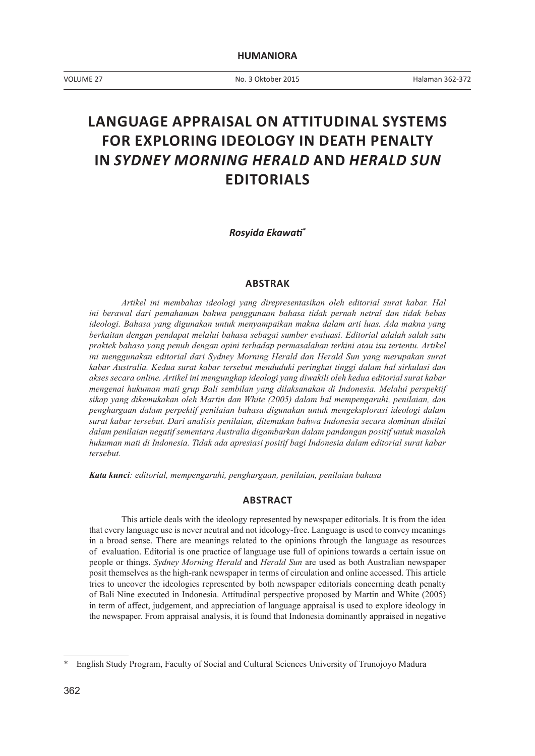VOLUME 27 No. 3 Oktober 2015

# **LANGUAGE APPRAISAL ON ATTITUDINAL SYSTEMS FOR EXPLORING IDEOLOGY IN DEATH PENALTY IN** *SYDNEY MORNING HERALD* **AND** *HERALD SUN* **EDITORIALS**

*Rosyida Ekawati\**

#### **ABSTRAK**

*Artikel ini membahas ideologi yang direpresentasikan oleh editorial surat kabar. Hal ini berawal dari pemahaman bahwa penggunaan bahasa tidak pernah netral dan tidak bebas ideologi. Bahasa yang digunakan untuk menyampaikan makna dalam arti luas. Ada makna yang berkaitan dengan pendapat melalui bahasa sebagai sumber evaluasi. Editorial adalah salah satu praktek bahasa yang penuh dengan opini terhadap permasalahan terkini atau isu tertentu. Artikel ini menggunakan editorial dari Sydney Morning Herald dan Herald Sun yang merupakan surat kabar Australia. Kedua surat kabar tersebut menduduki peringkat tinggi dalam hal sirkulasi dan akses secara online. Artikel ini mengungkap ideologi yang diwakili oleh kedua editorial surat kabar mengenai hukuman mati grup Bali sembilan yang dilaksanakan di Indonesia. Melalui perspektif sikap yang dikemukakan oleh Martin dan White (2005) dalam hal mempengaruhi, penilaian, dan penghargaan dalam perpektif penilaian bahasa digunakan untuk mengeksplorasi ideologi dalam surat kabar tersebut. Dari analisis penilaian, ditemukan bahwa Indonesia secara dominan dinilai dalam penilaian negatif sementara Australia digambarkan dalam pandangan positif untuk masalah hukuman mati di Indonesia. Tidak ada apresiasi positif bagi Indonesia dalam editorial surat kabar tersebut.*

*Kata kunci: editorial, mempengaruhi, penghargaan, penilaian, penilaian bahasa*

## **ABSTRACT**

This article deals with the ideology represented by newspaper editorials. It is from the idea that every language use is never neutral and not ideology-free. Language is used to convey meanings in a broad sense. There are meanings related to the opinions through the language as resources of evaluation. Editorial is one practice of language use full of opinions towards a certain issue on people or things. *Sydney Morning Herald* and *Herald Sun* are used as both Australian newspaper posit themselves as the high-rank newspaper in terms of circulation and online accessed. This article tries to uncover the ideologies represented by both newspaper editorials concerning death penalty of Bali Nine executed in Indonesia. Attitudinal perspective proposed by Martin and White (2005) in term of affect, judgement, and appreciation of language appraisal is used to explore ideology in the newspaper. From appraisal analysis, it is found that Indonesia dominantly appraised in negative

<sup>\*</sup> English Study Program, Faculty of Social and Cultural Sciences University of Trunojoyo Madura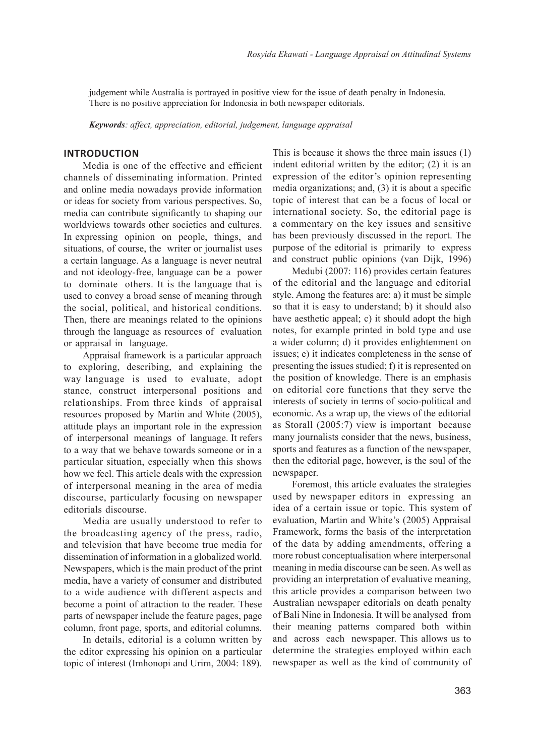judgement while Australia is portrayed in positive view for the issue of death penalty in Indonesia. There is no positive appreciation for Indonesia in both newspaper editorials.

*Keywords: affect, appreciation, editorial, judgement, language appraisal*

## **INTRODUCTION**

Media is one of the effective and efficient channels of disseminating information. Printed and online media nowadays provide information or ideas for society from various perspectives. So, media can contribute significantly to shaping our worldviews towards other societies and cultures. In expressing opinion on people, things, and situations, of course, the writer or journalist uses a certain language. As a language is never neutral and not ideology-free, language can be a power to dominate others. It is the language that is used to convey a broad sense of meaning through the social, political, and historical conditions. Then, there are meanings related to the opinions through the language as resources of evaluation or appraisal in language.

Appraisal framework is a particular approach to exploring, describing, and explaining the way language is used to evaluate, adopt stance, construct interpersonal positions and relationships. From three kinds of appraisal resources proposed by Martin and White (2005), attitude plays an important role in the expression of interpersonal meanings of language. It refers to a way that we behave towards someone or in a particular situation, especially when this shows how we feel. This article deals with the expression of interpersonal meaning in the area of media discourse, particularly focusing on newspaper editorials discourse.

Media are usually understood to refer to the broadcasting agency of the press, radio, and television that have become true media for dissemination of information in a globalized world. Newspapers, which is the main product of the print media, have a variety of consumer and distributed to a wide audience with different aspects and become a point of attraction to the reader. These parts of newspaper include the feature pages, page column, front page, sports, and editorial columns.

In details, editorial is a column written by the editor expressing his opinion on a particular topic of interest (Imhonopi and Urim, 2004: 189).

This is because it shows the three main issues (1) indent editorial written by the editor; (2) it is an expression of the editor's opinion representing media organizations; and, (3) it is about a specific topic of interest that can be a focus of local or international society. So, the editorial page is a commentary on the key issues and sensitive has been previously discussed in the report. The purpose of the editorial is primarily to express and construct public opinions (van Dijk, 1996)

Medubi (2007: 116) provides certain features of the editorial and the language and editorial style. Among the features are: a) it must be simple so that it is easy to understand; b) it should also have aesthetic appeal; c) it should adopt the high notes, for example printed in bold type and use a wider column; d) it provides enlightenment on issues; e) it indicates completeness in the sense of presenting the issues studied; f) it is represented on the position of knowledge. There is an emphasis on editorial core functions that they serve the interests of society in terms of socio-political and economic. As a wrap up, the views of the editorial as Storall (2005:7) view is important because many journalists consider that the news, business, sports and features as a function of the newspaper, then the editorial page, however, is the soul of the newspaper.

Foremost, this article evaluates the strategies used by newspaper editors in expressing an idea of a certain issue or topic. This system of evaluation, Martin and White's (2005) Appraisal Framework, forms the basis of the interpretation of the data by adding amendments, offering a more robust conceptualisation where interpersonal meaning in media discourse can be seen. As well as providing an interpretation of evaluative meaning, this article provides a comparison between two Australian newspaper editorials on death penalty of Bali Nine in Indonesia. It will be analysed from their meaning patterns compared both within and across each newspaper. This allows us to determine the strategies employed within each newspaper as well as the kind of community of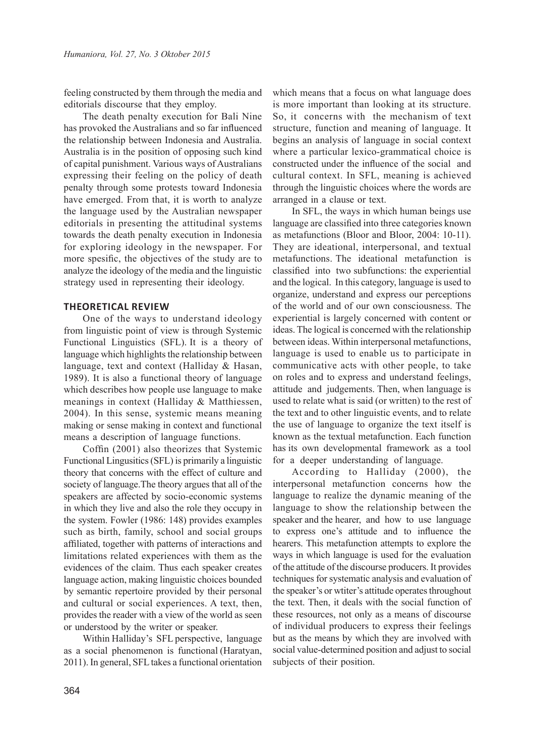feeling constructed by them through the media and editorials discourse that they employ.

The death penalty execution for Bali Nine has provoked the Australians and so far influenced the relationship between Indonesia and Australia. Australia is in the position of opposing such kind of capital punishment. Various ways of Australians expressing their feeling on the policy of death penalty through some protests toward Indonesia have emerged. From that, it is worth to analyze the language used by the Australian newspaper editorials in presenting the attitudinal systems towards the death penalty execution in Indonesia for exploring ideology in the newspaper. For more spesific, the objectives of the study are to analyze the ideology of the media and the linguistic strategy used in representing their ideology.

#### **THEORETICAL REVIEW**

One of the ways to understand ideology from linguistic point of view is through Systemic Functional Linguistics (SFL). It is a theory of language which highlights the relationship between language, text and context (Halliday & Hasan, 1989). It is also a functional theory of language which describes how people use language to make meanings in context (Halliday & Matthiessen, 2004). In this sense, systemic means meaning making or sense making in context and functional means a description of language functions.

Coffin (2001) also theorizes that Systemic Functional Lingusitics (SFL) is primarily a linguistic theory that concerns with the effect of culture and society of language.The theory argues that all of the speakers are affected by socio-economic systems in which they live and also the role they occupy in the system. Fowler (1986: 148) provides examples such as birth, family, school and social groups affiliated, together with patterns of interactions and limitations related experiences with them as the evidences of the claim. Thus each speaker creates language action, making linguistic choices bounded by semantic repertoire provided by their personal and cultural or social experiences. A text, then, provides the reader with a view of the world as seen or understood by the writer or speaker.

Within Halliday's SFL perspective, language as a social phenomenon is functional (Haratyan, 2011). In general, SFL takes a functional orientation

which means that a focus on what language does is more important than looking at its structure. So, it concerns with the mechanism of text structure, function and meaning of language. It begins an analysis of language in social context where a particular lexico-grammatical choice is constructed under the influence of the social and cultural context. In SFL, meaning is achieved through the linguistic choices where the words are arranged in a clause or text.

In SFL, the ways in which human beings use language are classified into three categories known as metafunctions (Bloor and Bloor, 2004: 10-11). They are ideational, interpersonal, and textual metafunctions. The ideational metafunction is classified into two subfunctions: the experiential and the logical. In this category, language is used to organize, understand and express our perceptions of the world and of our own consciousness. The experiential is largely concerned with content or ideas. The logical is concerned with the relationship between ideas. Within interpersonal metafunctions, language is used to enable us to participate in communicative acts with other people, to take on roles and to express and understand feelings, attitude and judgements. Then, when language is used to relate what is said (or written) to the rest of the text and to other linguistic events, and to relate the use of language to organize the text itself is known as the textual metafunction. Each function has its own developmental framework as a tool for a deeper understanding of language.

According to Halliday (2000), the interpersonal metafunction concerns how the language to realize the dynamic meaning of the language to show the relationship between the speaker and the hearer, and how to use language to express one's attitude and to influence the hearers. This metafunction attempts to explore the ways in which language is used for the evaluation of the attitude of the discourse producers. It provides techniques for systematic analysis and evaluation of the speaker's or wtiter's attitude operates throughout the text. Then, it deals with the social function of these resources, not only as a means of discourse of individual producers to express their feelings but as the means by which they are involved with social value-determined position and adjust to social subjects of their position.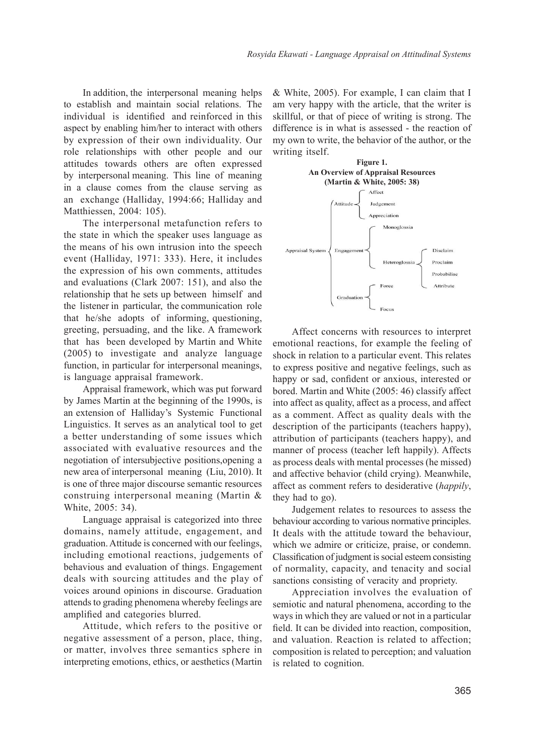In addition, the interpersonal meaning helps to establish and maintain social relations. The individual is identified and reinforced in this aspect by enabling him/her to interact with others by expression of their own individuality. Our role relationships with other people and our attitudes towards others are often expressed by interpersonal meaning. This line of meaning in a clause comes from the clause serving as an exchange (Halliday, 1994:66; Halliday and Matthiessen, 2004: 105).

The interpersonal metafunction refers to the state in which the speaker uses language as the means of his own intrusion into the speech event (Halliday, 1971: 333). Here, it includes the expression of his own comments, attitudes and evaluations (Clark 2007: 151), and also the relationship that he sets up between himself and the listener in particular, the communication role that he/she adopts of informing, questioning, greeting, persuading, and the like. A framework that has been developed by Martin and White (2005) to investigate and analyze language function, in particular for interpersonal meanings, is language appraisal framework.

Appraisal framework, which was put forward by James Martin at the beginning of the 1990s, is an extension of Halliday's Systemic Functional Linguistics. It serves as an analytical tool to get a better understanding of some issues which associated with evaluative resources and the negotiation of intersubjective positions,opening a new area of interpersonal meaning (Liu, 2010). It is one of three major discourse semantic resources construing interpersonal meaning (Martin & White, 2005: 34).

Language appraisal is categorized into three domains, namely attitude, engagement, and graduation. Attitude is concerned with our feelings, including emotional reactions, judgements of behavious and evaluation of things. Engagement deals with sourcing attitudes and the play of voices around opinions in discourse. Graduation attends to grading phenomena whereby feelings are amplified and categories blurred.

Attitude, which refers to the positive or negative assessment of a person, place, thing, or matter, involves three semantics sphere in interpreting emotions, ethics, or aesthetics (Martin

& White, 2005). For example, I can claim that I am very happy with the article, that the writer is skillful, or that of piece of writing is strong. The difference is in what is assessed - the reaction of my own to write, the behavior of the author, or the writing itself.



Affect concerns with resources to interpret emotional reactions, for example the feeling of shock in relation to a particular event. This relates to express positive and negative feelings, such as happy or sad, confident or anxious, interested or bored. Martin and White (2005: 46) classify affect into affect as quality, affect as a process, and affect as a comment. Affect as quality deals with the description of the participants (teachers happy), attribution of participants (teachers happy), and manner of process (teacher left happily). Affects as process deals with mental processes (he missed) and affective behavior (child crying). Meanwhile, affect as comment refers to desiderative (*happily*, they had to go).

Judgement relates to resources to assess the behaviour according to various normative principles. It deals with the attitude toward the behaviour, which we admire or criticize, praise, or condemn. Classification of judgment is social esteem consisting of normality, capacity, and tenacity and social sanctions consisting of veracity and propriety.

Appreciation involves the evaluation of semiotic and natural phenomena, according to the ways in which they are valued or not in a particular field. It can be divided into reaction, composition, and valuation. Reaction is related to affection; composition is related to perception; and valuation is related to cognition.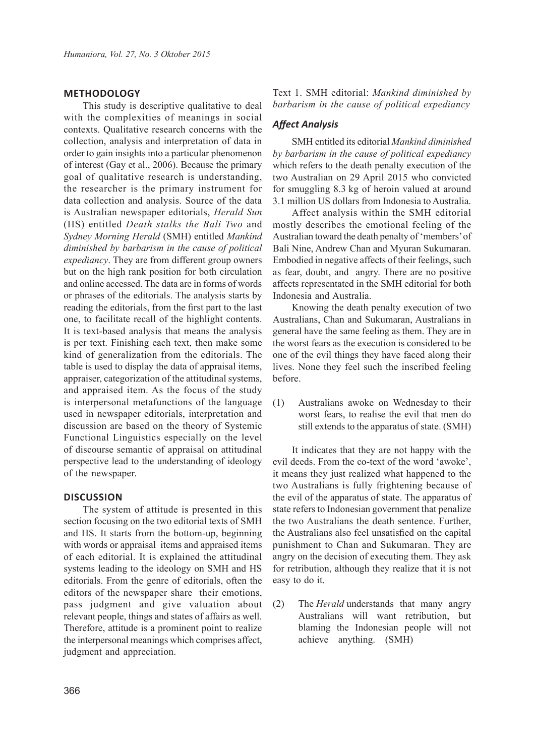# **METHODOLOGY**

This study is descriptive qualitative to deal with the complexities of meanings in social contexts. Qualitative research concerns with the collection, analysis and interpretation of data in order to gain insights into a particular phenomenon of interest (Gay et al., 2006). Because the primary goal of qualitative research is understanding, the researcher is the primary instrument for data collection and analysis. Source of the data is Australian newspaper editorials, *Herald Sun* (HS) entitled *Death stalks the Bali Two* and *Sydney Morning Herald* (SMH) entitled *Mankind diminished by barbarism in the cause of political expediancy*. They are from different group owners but on the high rank position for both circulation and online accessed. The data are in forms of words or phrases of the editorials. The analysis starts by reading the editorials, from the first part to the last one, to facilitate recall of the highlight contents. It is text-based analysis that means the analysis is per text. Finishing each text, then make some kind of generalization from the editorials. The table is used to display the data of appraisal items, appraiser, categorization of the attitudinal systems, and appraised item. As the focus of the study is interpersonal metafunctions of the language used in newspaper editorials, interpretation and discussion are based on the theory of Systemic Functional Linguistics especially on the level of discourse semantic of appraisal on attitudinal perspective lead to the understanding of ideology of the newspaper.

## **DISCUSSION**

The system of attitude is presented in this section focusing on the two editorial texts of SMH and HS. It starts from the bottom-up, beginning with words or appraisal items and appraised items of each editorial. It is explained the attitudinal systems leading to the ideology on SMH and HS editorials. From the genre of editorials, often the editors of the newspaper share their emotions, pass judgment and give valuation about relevant people, things and states of affairs as well. Therefore, attitude is a prominent point to realize the interpersonal meanings which comprises affect, judgment and appreciation.

Text 1. SMH editorial: *Mankind diminished by barbarism in the cause of political expediancy*

## *Affect Analysis*

SMH entitled its editorial *Mankind diminished by barbarism in the cause of political expediancy* which refers to the death penalty execution of the two Australian on 29 April 2015 who convicted for smuggling 8.3 kg of heroin valued at around 3.1 million US dollars from Indonesia to Australia.

Affect analysis within the SMH editorial mostly describes the emotional feeling of the Australian toward the death penalty of 'members' of Bali Nine, Andrew Chan and Myuran Sukumaran. Embodied in negative affects of their feelings, such as fear, doubt, and angry. There are no positive affects representated in the SMH editorial for both Indonesia and Australia.

Knowing the death penalty execution of two Australians, Chan and Sukumaran, Australians in general have the same feeling as them. They are in the worst fears as the execution is considered to be one of the evil things they have faced along their lives. None they feel such the inscribed feeling before.

(1) Australians awoke on Wednesday to their worst fears, to realise the evil that men do still extends to the apparatus of state. (SMH)

It indicates that they are not happy with the evil deeds. From the co-text of the word 'awoke', it means they just realized what happened to the two Australians is fully frightening because of the evil of the apparatus of state. The apparatus of state refers to Indonesian government that penalize the two Australians the death sentence. Further, the Australians also feel unsatisfied on the capital punishment to Chan and Sukumaran. They are angry on the decision of executing them. They ask for retribution, although they realize that it is not easy to do it.

(2) The *Herald* understands that many angry Australians will want retribution, but blaming the Indonesian people will not achieve anything. (SMH)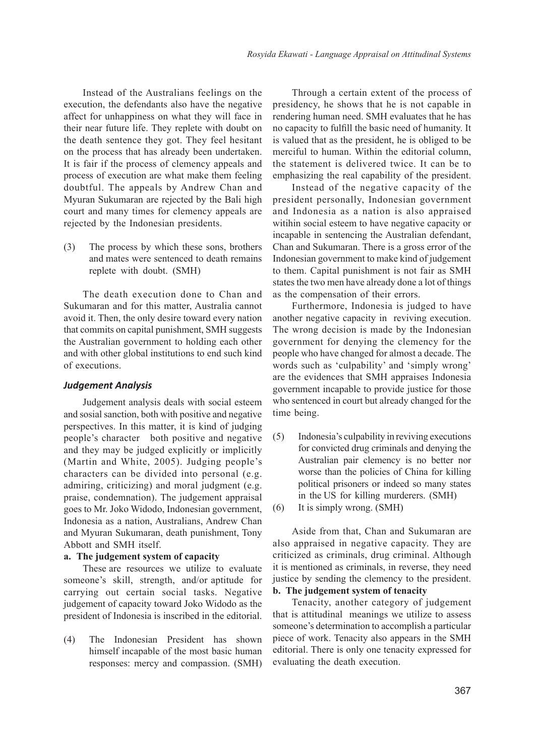Instead of the Australians feelings on the execution, the defendants also have the negative affect for unhappiness on what they will face in their near future life. They replete with doubt on the death sentence they got. They feel hesitant on the process that has already been undertaken. It is fair if the process of clemency appeals and process of execution are what make them feeling doubtful. The appeals by Andrew Chan and Myuran Sukumaran are rejected by the Bali high court and many times for clemency appeals are rejected by the Indonesian presidents.

(3) The process by which these sons, brothers and mates were sentenced to death remains replete with doubt. (SMH)

The death execution done to Chan and Sukumaran and for this matter, Australia cannot avoid it. Then, the only desire toward every nation that commits on capital punishment, SMH suggests the Australian government to holding each other and with other global institutions to end such kind of executions.

## *Judgement Analysis*

Judgement analysis deals with social esteem and sosial sanction, both with positive and negative perspectives. In this matter, it is kind of judging people's character both positive and negative and they may be judged explicitly or implicitly (Martin and White, 2005). Judging people's characters can be divided into personal (e.g. admiring, criticizing) and moral judgment (e.g. praise, condemnation). The judgement appraisal goes to Mr. Joko Widodo, Indonesian government, Indonesia as a nation, Australians, Andrew Chan and Myuran Sukumaran, death punishment, Tony Abbott and SMH itself.

#### **a. The judgement system of capacity**

These are resources we utilize to evaluate someone's skill, strength, and/or aptitude for carrying out certain social tasks. Negative judgement of capacity toward Joko Widodo as the president of Indonesia is inscribed in the editorial.

(4) The Indonesian President has shown himself incapable of the most basic human responses: mercy and compassion. (SMH)

Through a certain extent of the process of presidency, he shows that he is not capable in rendering human need. SMH evaluates that he has no capacity to fulfill the basic need of humanity. It is valued that as the president, he is obliged to be merciful to human. Within the editorial column, the statement is delivered twice. It can be to emphasizing the real capability of the president.

Instead of the negative capacity of the president personally, Indonesian government and Indonesia as a nation is also appraised witihin social esteem to have negative capacity or incapable in sentencing the Australian defendant, Chan and Sukumaran. There is a gross error of the Indonesian government to make kind of judgement to them. Capital punishment is not fair as SMH states the two men have already done a lot of things as the compensation of their errors.

Furthermore, Indonesia is judged to have another negative capacity in reviving execution. The wrong decision is made by the Indonesian government for denying the clemency for the people who have changed for almost a decade. The words such as 'culpability' and 'simply wrong' are the evidences that SMH appraises Indonesia government incapable to provide justice for those who sentenced in court but already changed for the time being.

- (5) Indonesia's culpability in reviving executions for convicted drug criminals and denying the Australian pair clemency is no better nor worse than the policies of China for killing political prisoners or indeed so many states in the US for killing murderers. (SMH)
- (6) It is simply wrong. (SMH)

Aside from that, Chan and Sukumaran are also appraised in negative capacity. They are criticized as criminals, drug criminal. Although it is mentioned as criminals, in reverse, they need justice by sending the clemency to the president.

# **b. The judgement system of tenacity**

Tenacity, another category of judgement that is attitudinal meanings we utilize to assess someone's determination to accomplish a particular piece of work. Tenacity also appears in the SMH editorial. There is only one tenacity expressed for evaluating the death execution.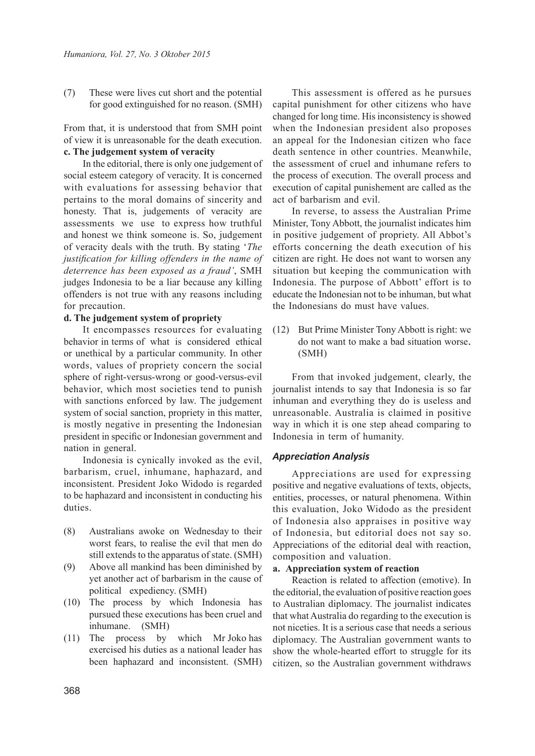(7) These were lives cut short and the potential for good extinguished for no reason. (SMH)

From that, it is understood that from SMH point of view it is unreasonable for the death execution. **c. The judgement system of veracity**

In the editorial, there is only one judgement of social esteem category of veracity. It is concerned with evaluations for assessing behavior that pertains to the moral domains of sincerity and honesty. That is, judgements of veracity are assessments we use to express how truthful and honest we think someone is. So, judgement of veracity deals with the truth. By stating '*The justification for killing offenders in the name of deterrence has been exposed as a fraud'*, SMH judges Indonesia to be a liar because any killing offenders is not true with any reasons including for precaution.

## **d. The judgement system of propriety**

It encompasses resources for evaluating behavior in terms of what is considered ethical or unethical by a particular community. In other words, values of propriety concern the social sphere of right-versus-wrong or good-versus-evil behavior, which most societies tend to punish with sanctions enforced by law. The judgement system of social sanction, propriety in this matter, is mostly negative in presenting the Indonesian president in specific or Indonesian government and nation in general.

Indonesia is cynically invoked as the evil, barbarism, cruel, inhumane, haphazard, and inconsistent. President Joko Widodo is regarded to be haphazard and inconsistent in conducting his duties.

- (8) Australians awoke on Wednesday to their worst fears, to realise the evil that men do still extends to the apparatus of state. (SMH)
- (9) Above all mankind has been diminished by yet another act of barbarism in the cause of political expediency. (SMH)
- (10) The process by which Indonesia has pursued these executions has been cruel and inhumane. (SMH)
- (11) The process by which Mr Joko has exercised his duties as a national leader has been haphazard and inconsistent. (SMH)

This assessment is offered as he pursues capital punishment for other citizens who have changed for long time. His inconsistency is showed when the Indonesian president also proposes an appeal for the Indonesian citizen who face death sentence in other countries. Meanwhile, the assessment of cruel and inhumane refers to the process of execution. The overall process and execution of capital punishement are called as the act of barbarism and evil.

In reverse, to assess the Australian Prime Minister, Tony Abbott, the journalist indicates him in positive judgement of propriety. All Abbot's efforts concerning the death execution of his citizen are right. He does not want to worsen any situation but keeping the communication with Indonesia. The purpose of Abbott' effort is to educate the Indonesian not to be inhuman, but what the Indonesians do must have values.

(12) But Prime Minister Tony Abbott is right: we do not want to make a bad situation worse. (SMH)

From that invoked judgement, clearly, the journalist intends to say that Indonesia is so far inhuman and everything they do is useless and unreasonable. Australia is claimed in positive way in which it is one step ahead comparing to Indonesia in term of humanity.

#### *Appreciation Analysis*

Appreciations are used for expressing positive and negative evaluations of texts, objects, entities, processes, or natural phenomena. Within this evaluation, Joko Widodo as the president of Indonesia also appraises in positive way of Indonesia, but editorial does not say so. Appreciations of the editorial deal with reaction, composition and valuation.

## **a. Appreciation system of reaction**

Reaction is related to affection (emotive). In the editorial, the evaluation of positive reaction goes to Australian diplomacy. The journalist indicates that what Australia do regarding to the execution is not niceties. It is a serious case that needs a serious diplomacy. The Australian government wants to show the whole-hearted effort to struggle for its citizen, so the Australian government withdraws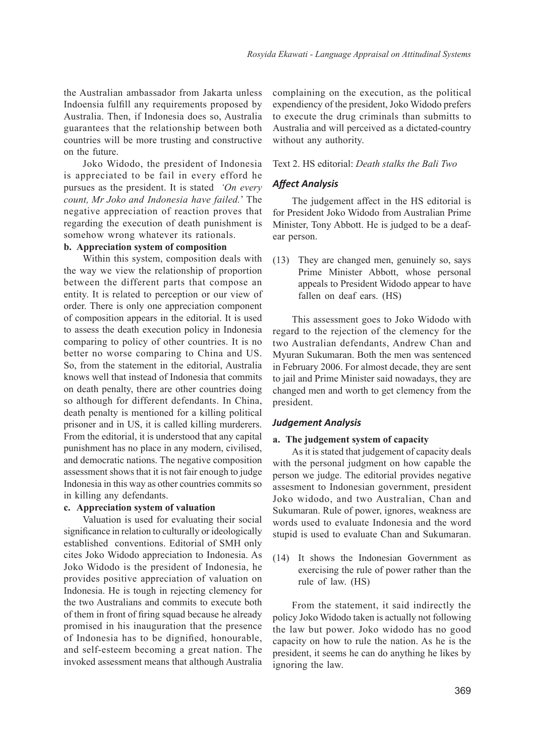the Australian ambassador from Jakarta unless Indoensia fulfill any requirements proposed by Australia. Then, if Indonesia does so, Australia guarantees that the relationship between both countries will be more trusting and constructive on the future.

Joko Widodo, the president of Indonesia is appreciated to be fail in every efford he pursues as the president. It is stated *'On every count, Mr Joko and Indonesia have failed.*' The negative appreciation of reaction proves that regarding the execution of death punishment is somehow wrong whatever its rationals.

#### **b. Appreciation system of composition**

Within this system, composition deals with the way we view the relationship of proportion between the different parts that compose an entity. It is related to perception or our view of order. There is only one appreciation component of composition appears in the editorial. It is used to assess the death execution policy in Indonesia comparing to policy of other countries. It is no better no worse comparing to China and US. So, from the statement in the editorial, Australia knows well that instead of Indonesia that commits on death penalty, there are other countries doing so although for different defendants. In China, death penalty is mentioned for a killing political prisoner and in US, it is called killing murderers. From the editorial, it is understood that any capital punishment has no place in any modern, civilised, and democratic nations. The negative composition assessment shows that it is not fair enough to judge Indonesia in this way as other countries commits so in killing any defendants.

#### **c. Appreciation system of valuation**

Valuation is used for evaluating their social significance in relation to culturally or ideologically established conventions. Editorial of SMH only cites Joko Widodo appreciation to Indonesia. As Joko Widodo is the president of Indonesia, he provides positive appreciation of valuation on Indonesia. He is tough in rejecting clemency for the two Australians and commits to execute both of them in front of firing squad because he already promised in his inauguration that the presence of Indonesia has to be dignified, honourable, and self-esteem becoming a great nation. The invoked assessment means that although Australia

complaining on the execution, as the political expendiency of the president, Joko Widodo prefers to execute the drug criminals than submitts to Australia and will perceived as a dictated-country without any authority.

## Text 2. HS editorial: *Death stalks the Bali Two*

## *Affect Analysis*

The judgement affect in the HS editorial is for President Joko Widodo from Australian Prime Minister, Tony Abbott. He is judged to be a deafear person.

(13) They are changed men, genuinely so, says Prime Minister Abbott, whose personal appeals to President Widodo appear to have fallen on deaf ears. (HS)

This assessment goes to Joko Widodo with regard to the rejection of the clemency for the two Australian defendants, Andrew Chan and Myuran Sukumaran. Both the men was sentenced in February 2006. For almost decade, they are sent to jail and Prime Minister said nowadays, they are changed men and worth to get clemency from the president.

## *Judgement Analysis*

#### **a. The judgement system of capacity**

As it is stated that judgement of capacity deals with the personal judgment on how capable the person we judge. The editorial provides negative assesment to Indonesian government, president Joko widodo, and two Australian, Chan and Sukumaran. Rule of power, ignores, weakness are words used to evaluate Indonesia and the word stupid is used to evaluate Chan and Sukumaran.

(14) It shows the Indonesian Government as exercising the rule of power rather than the rule of law. (HS)

From the statement, it said indirectly the policy Joko Widodo taken is actually not following the law but power. Joko widodo has no good capacity on how to rule the nation. As he is the president, it seems he can do anything he likes by ignoring the law.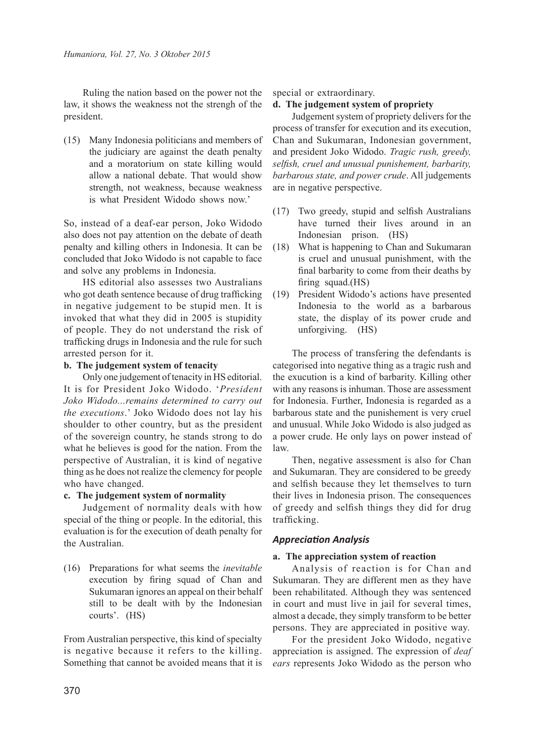Ruling the nation based on the power not the law, it shows the weakness not the strengh of the president.

(15) Many Indonesia politicians and members of the judiciary are against the death penalty and a moratorium on state killing would allow a national debate. That would show strength, not weakness, because weakness is what President Widodo shows now.'

So, instead of a deaf-ear person, Joko Widodo also does not pay attention on the debate of death penalty and killing others in Indonesia. It can be concluded that Joko Widodo is not capable to face and solve any problems in Indonesia.

HS editorial also assesses two Australians who got death sentence because of drug trafficking in negative judgement to be stupid men. It is invoked that what they did in 2005 is stupidity of people. They do not understand the risk of trafficking drugs in Indonesia and the rule for such arrested person for it.

# **b. The judgement system of tenacity**

Only one judgement of tenacity in HS editorial. It is for President Joko Widodo. '*President Joko Widodo...remains determined to carry out the executions*.' Joko Widodo does not lay his shoulder to other country, but as the president of the sovereign country, he stands strong to do what he believes is good for the nation. From the perspective of Australian, it is kind of negative thing as he does not realize the clemency for people who have changed.

# **c. The judgement system of normality**

Judgement of normality deals with how special of the thing or people. In the editorial, this evaluation is for the execution of death penalty for the Australian.

(16) Preparations for what seems the *inevitable* execution by firing squad of Chan and Sukumaran ignores an appeal on their behalf still to be dealt with by the Indonesian courts'. (HS)

From Australian perspective, this kind of specialty is negative because it refers to the killing. Something that cannot be avoided means that it is

## special or extraordinary.

# **d. The judgement system of propriety**

Judgement system of propriety delivers for the process of transfer for execution and its execution, Chan and Sukumaran, Indonesian government, and president Joko Widodo. *Tragic rush, greedy, selfish, cruel and unusual punishement, barbarity, barbarous state, and power crude*. All judgements are in negative perspective.

- (17) Two greedy, stupid and selfish Australians have turned their lives around in an Indonesian prison. (HS)
- (18) What is happening to Chan and Sukumaran is cruel and unusual punishment, with the final barbarity to come from their deaths by firing squad.(HS)
- (19) President Widodo's actions have presented Indonesia to the world as a barbarous state, the display of its power crude and unforgiving. (HS)

The process of transfering the defendants is categorised into negative thing as a tragic rush and the exucution is a kind of barbarity. Killing other with any reasons is inhuman. Those are assessment for Indonesia. Further, Indonesia is regarded as a barbarous state and the punishement is very cruel and unusual. While Joko Widodo is also judged as a power crude. He only lays on power instead of law.

Then, negative assessment is also for Chan and Sukumaran. They are considered to be greedy and selfish because they let themselves to turn their lives in Indonesia prison. The consequences of greedy and selfish things they did for drug trafficking.

# *Appreciation Analysis*

# **a. The appreciation system of reaction**

Analysis of reaction is for Chan and Sukumaran. They are different men as they have been rehabilitated. Although they was sentenced in court and must live in jail for several times, almost a decade, they simply transform to be better persons. They are appreciated in positive way.

For the president Joko Widodo, negative appreciation is assigned. The expression of *deaf ears* represents Joko Widodo as the person who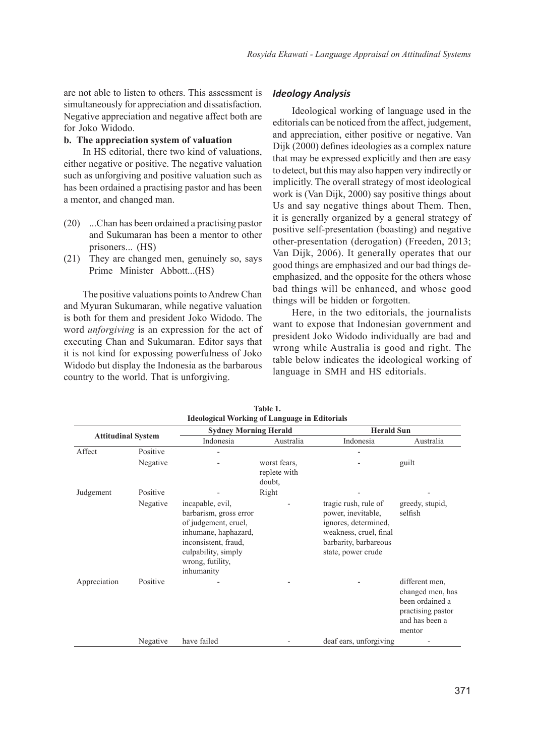are not able to listen to others. This assessment is simultaneously for appreciation and dissatisfaction. Negative appreciation and negative affect both are for Joko Widodo.

## **b. The appreciation system of valuation**

In HS editorial, there two kind of valuations, either negative or positive. The negative valuation such as unforgiving and positive valuation such as has been ordained a practising pastor and has been a mentor, and changed man.

- (20) ...Chan has been ordained a practising pastor and Sukumaran has been a mentor to other prisoners... (HS)
- (21) They are changed men, genuinely so, says Prime Minister Abbott...(HS)

The positive valuations points to Andrew Chan and Myuran Sukumaran, while negative valuation is both for them and president Joko Widodo. The word *unforgiving* is an expression for the act of executing Chan and Sukumaran. Editor says that it is not kind for expossing powerfulness of Joko Widodo but display the Indonesia as the barbarous country to the world. That is unforgiving.

# *Ideology Analysis*

Ideological working of language used in the editorials can be noticed from the affect, judgement, and appreciation, either positive or negative. Van Dijk (2000) defines ideologies as a complex nature that may be expressed explicitly and then are easy to detect, but this may also happen very indirectly or implicitly. The overall strategy of most ideological work is (Van Dijk, 2000) say positive things about Us and say negative things about Them. Then, it is generally organized by a general strategy of positive self-presentation (boasting) and negative other-presentation (derogation) (Freeden, 2013; Van Dijk, 2006). It generally operates that our good things are emphasized and our bad things deemphasized, and the opposite for the others whose bad things will be enhanced, and whose good things will be hidden or forgotten.

Here, in the two editorials, the journalists want to expose that Indonesian government and president Joko Widodo individually are bad and wrong while Australia is good and right. The table below indicates the ideological working of language in SMH and HS editorials.

| <b>Ideological Working of Language in Editorials</b> |          |                                                                                                                                                                             |                                        |                                                                                                                                             |                                                                                                        |  |  |
|------------------------------------------------------|----------|-----------------------------------------------------------------------------------------------------------------------------------------------------------------------------|----------------------------------------|---------------------------------------------------------------------------------------------------------------------------------------------|--------------------------------------------------------------------------------------------------------|--|--|
| <b>Attitudinal System</b>                            |          | <b>Sydney Morning Herald</b>                                                                                                                                                |                                        | <b>Herald Sun</b>                                                                                                                           |                                                                                                        |  |  |
|                                                      |          | Indonesia                                                                                                                                                                   | Australia                              | Indonesia                                                                                                                                   | Australia                                                                                              |  |  |
| Affect                                               | Positive |                                                                                                                                                                             |                                        |                                                                                                                                             |                                                                                                        |  |  |
|                                                      | Negative |                                                                                                                                                                             | worst fears.<br>replete with<br>doubt, |                                                                                                                                             | guilt                                                                                                  |  |  |
| Judgement                                            | Positive |                                                                                                                                                                             | Right                                  |                                                                                                                                             |                                                                                                        |  |  |
|                                                      | Negative | incapable, evil,<br>barbarism, gross error<br>of judgement, cruel,<br>inhumane, haphazard,<br>inconsistent, fraud,<br>culpability, simply<br>wrong, futility,<br>inhumanity |                                        | tragic rush, rule of<br>power, inevitable,<br>ignores, determined,<br>weakness, cruel, final<br>barbarity, barbareous<br>state, power crude | greedy, stupid,<br>selfish                                                                             |  |  |
| Appreciation                                         | Positive |                                                                                                                                                                             |                                        |                                                                                                                                             | different men.<br>changed men, has<br>been ordained a<br>practising pastor<br>and has been a<br>mentor |  |  |
|                                                      | Negative | have failed                                                                                                                                                                 |                                        | deaf ears, unforgiving                                                                                                                      |                                                                                                        |  |  |

| Table 1.                                      |  |
|-----------------------------------------------|--|
| Ideological Working of Language in Editorials |  |